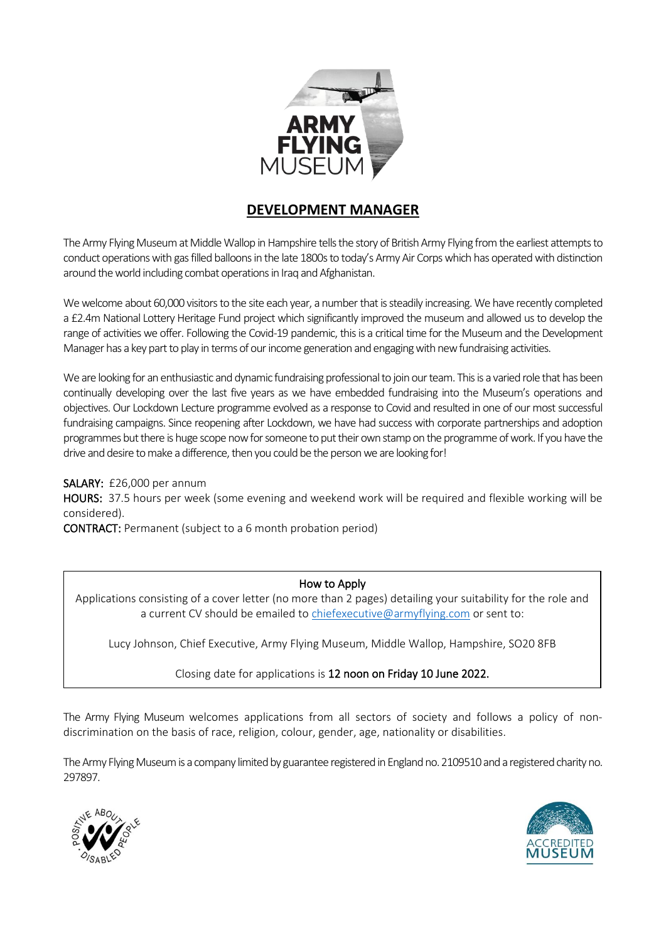

### **DEVELOPMENT MANAGER**

The Army Flying Museum at Middle Wallop in Hampshire tells the story of British Army Flying from the earliest attempts to conduct operations with gas filled balloons in the late 1800s to today's Army Air Corps which has operated with distinction around the world including combat operations in Iraq and Afghanistan.

We welcome about 60,000 visitors to the site each year, a number that is steadily increasing. We have recently completed a £2.4m National Lottery Heritage Fund project which significantly improved the museum and allowed us to develop the range of activities we offer. Following the Covid-19 pandemic, this is a critical time for the Museum and the Development Manager has a key part to play in terms of our income generation and engaging with new fundraising activities.

We are looking for an enthusiastic and dynamic fundraising professional to join our team. This is a varied role that has been continually developing over the last five years as we have embedded fundraising into the Museum's operations and objectives. Our Lockdown Lecture programme evolved as a response to Covid and resulted in one of our most successful fundraising campaigns. Since reopening after Lockdown, we have had success with corporate partnerships and adoption programmes but there is huge scope nowfor someone to put their own stamp on the programme of work. If you have the drive and desire to make a difference, then you could be the person we are looking for!

### SALARY: £26,000 per annum

HOURS: 37.5 hours per week (some evening and weekend work will be required and flexible working will be considered).

CONTRACT: Permanent (subject to a 6 month probation period)

#### How to Apply

Applications consisting of a cover letter (no more than 2 pages) detailing your suitability for the role and a current CV should be emailed t[o chiefexecutive@armyflying.com](mailto:chiefexecutive@armyflying.com) or sent to:

Lucy Johnson, Chief Executive, Army Flying Museum, Middle Wallop, Hampshire, SO20 8FB

Closing date for applications is 12 noon on Friday 10 June 2022.

The Army Flying Museum welcomes applications from all sectors of society and follows a policy of nondiscrimination on the basis of race, religion, colour, gender, age, nationality or disabilities.

The Army Flying Museum is a company limited by guarantee registered in England no. 2109510 and a registered charity no. 297897.



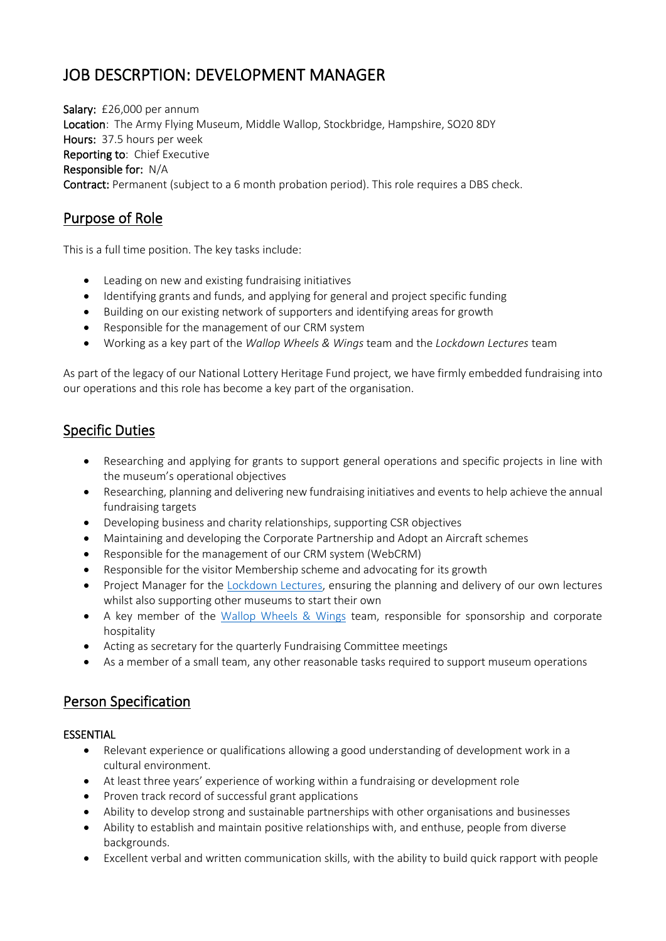# JOB DESCRPTION: DEVELOPMENT MANAGER

Salary: £26,000 per annum Location: The Army Flying Museum, Middle Wallop, Stockbridge, Hampshire, SO20 8DY Hours: 37.5 hours per week Reporting to: Chief Executive Responsible for: N/A Contract: Permanent (subject to a 6 month probation period). This role requires a DBS check.

### Purpose of Role

This is a full time position. The key tasks include:

- Leading on new and existing fundraising initiatives
- Identifying grants and funds, and applying for general and project specific funding
- Building on our existing network of supporters and identifying areas for growth
- Responsible for the management of our CRM system
- Working as a key part of the *Wallop Wheels & Wings* team and the *Lockdown Lectures* team

As part of the legacy of our National Lottery Heritage Fund project, we have firmly embedded fundraising into our operations and this role has become a key part of the organisation.

## Specific Duties

- Researching and applying for grants to support general operations and specific projects in line with the museum's operational objectives
- Researching, planning and delivering new fundraising initiatives and events to help achieve the annual fundraising targets
- Developing business and charity relationships, supporting CSR objectives
- Maintaining and developing the Corporate Partnership and Adopt an Aircraft schemes
- Responsible for the management of our CRM system (WebCRM)
- Responsible for the visitor Membership scheme and advocating for its growth
- Project Manager for the [Lockdown Lectures,](https://armyflying.com/what-s-on/lockdown-lectures/small-but-deadly-helicopters-in-the-falklands/) ensuring the planning and delivery of our own lectures whilst also supporting other museums to start their own
- A key member of the [Wallop Wheels & Wings](https://armyflying.com/what-s-on/events/wallop-wheels-and-wings-2022/) team, responsible for sponsorship and corporate hospitality
- Acting as secretary for the quarterly Fundraising Committee meetings
- As a member of a small team, any other reasonable tasks required to support museum operations

### Person Specification

### ESSENTIAL

- Relevant experience or qualifications allowing a good understanding of development work in a cultural environment.
- At least three years' experience of working within a fundraising or development role
- Proven track record of successful grant applications
- Ability to develop strong and sustainable partnerships with other organisations and businesses
- Ability to establish and maintain positive relationships with, and enthuse, people from diverse backgrounds.
- Excellent verbal and written communication skills, with the ability to build quick rapport with people